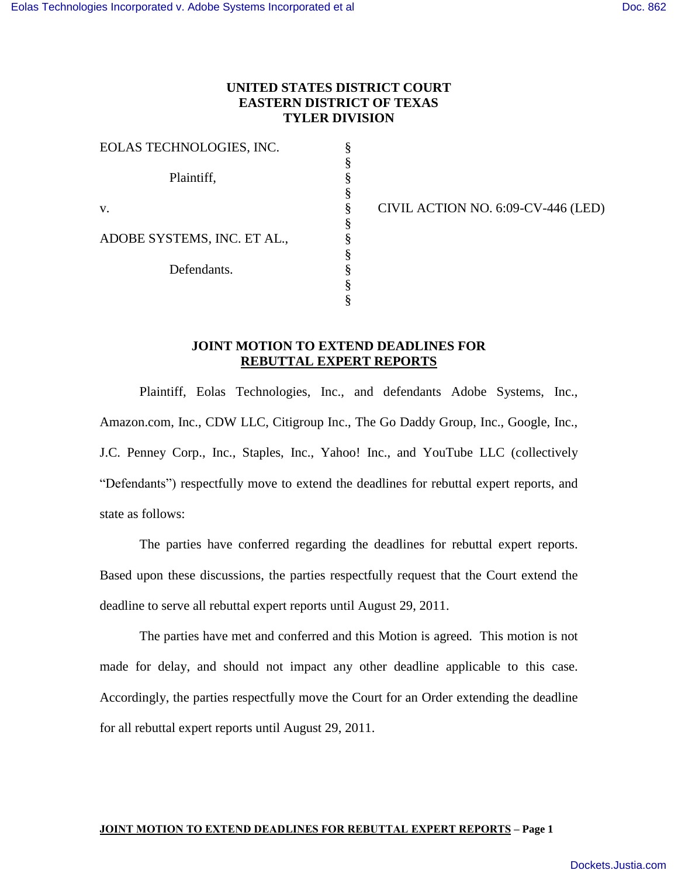## **UNITED STATES DISTRICT COURT EASTERN DISTRICT OF TEXAS TYLER DIVISION**

§ § § § § § § § § § §

EOLAS TECHNOLOGIES, INC. Plaintiff, v. ADOBE SYSTEMS, INC. ET AL., Defendants.

CIVIL ACTION NO. 6:09-CV-446 (LED)

### **JOINT MOTION TO EXTEND DEADLINES FOR REBUTTAL EXPERT REPORTS**

Plaintiff, Eolas Technologies, Inc., and defendants Adobe Systems, Inc., Amazon.com, Inc., CDW LLC, Citigroup Inc., The Go Daddy Group, Inc., Google, Inc., J.C. Penney Corp., Inc., Staples, Inc., Yahoo! Inc., and YouTube LLC (collectively "Defendants") respectfully move to extend the deadlines for rebuttal expert reports, and state as follows:

The parties have conferred regarding the deadlines for rebuttal expert reports. Based upon these discussions, the parties respectfully request that the Court extend the deadline to serve all rebuttal expert reports until August 29, 2011.

The parties have met and conferred and this Motion is agreed. This motion is not made for delay, and should not impact any other deadline applicable to this case. Accordingly, the parties respectfully move the Court for an Order extending the deadline for all rebuttal expert reports until August 29, 2011.

#### **JOINT MOTION TO EXTEND DEADLINES FOR REBUTTAL EXPERT REPORTS – Page 1**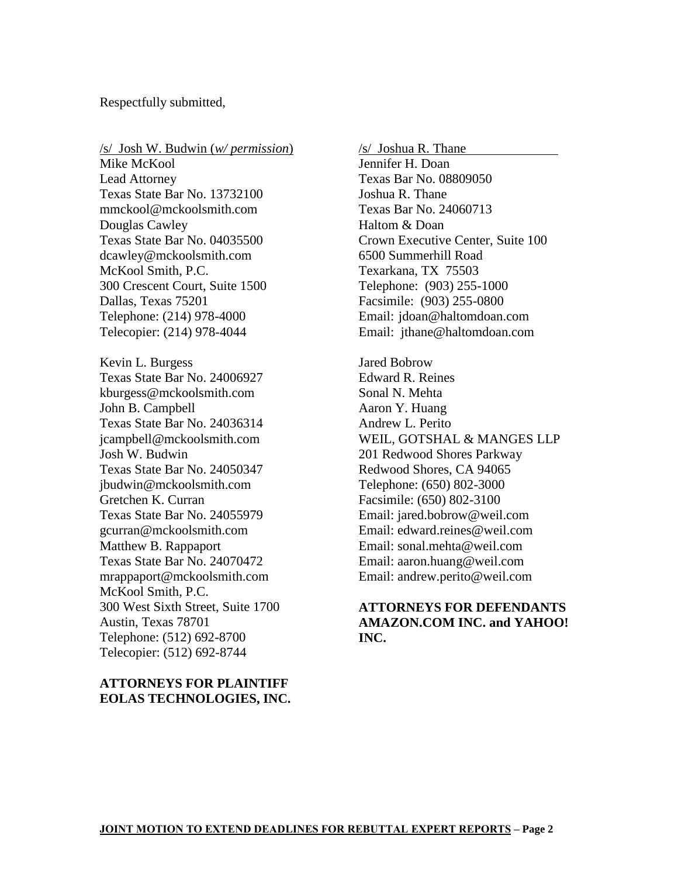Respectfully submitted,

/s/ Josh W. Budwin (*w/ permission*) Mike McKool Lead Attorney Texas State Bar No. 13732100 mmckool@mckoolsmith.com Douglas Cawley Texas State Bar No. 04035500 dcawley@mckoolsmith.com McKool Smith, P.C. 300 Crescent Court, Suite 1500 Dallas, Texas 75201 Telephone: (214) 978-4000 Telecopier: (214) 978-4044 Kevin L. Burgess Texas State Bar No. 24006927 kburgess@mckoolsmith.com John B. Campbell Texas State Bar No. 24036314 jcampbell@mckoolsmith.com Josh W. Budwin Texas State Bar No. 24050347 jbudwin@mckoolsmith.com Gretchen K. Curran Texas State Bar No. 24055979 gcurran@mckoolsmith.com Matthew B. Rappaport Texas State Bar No. 24070472 mrappaport@mckoolsmith.com McKool Smith, P.C. 300 West Sixth Street, Suite 1700 Austin, Texas 78701 Telephone: (512) 692-8700 Telecopier: (512) 692-8744

## **ATTORNEYS FOR PLAINTIFF EOLAS TECHNOLOGIES, INC.**

/s/ Joshua R. Thane

Jennifer H. Doan Texas Bar No. 08809050 Joshua R. Thane Texas Bar No. 24060713 Haltom & Doan Crown Executive Center, Suite 100 6500 Summerhill Road Texarkana, TX 75503 Telephone: (903) 255-1000 Facsimile: (903) 255-0800 Email: jdoan@haltomdoan.com Email: jthane@haltomdoan.com

Jared Bobrow Edward R. Reines Sonal N. Mehta Aaron Y. Huang Andrew L. Perito WEIL, GOTSHAL & MANGES LLP 201 Redwood Shores Parkway Redwood Shores, CA 94065 Telephone: (650) 802-3000 Facsimile: (650) 802-3100 Email: jared.bobrow@weil.com Email: edward.reines@weil.com Email: sonal.mehta@weil.com Email: aaron.huang@weil.com Email: andrew.perito@weil.com

# **ATTORNEYS FOR DEFENDANTS AMAZON.COM INC. and YAHOO! INC.**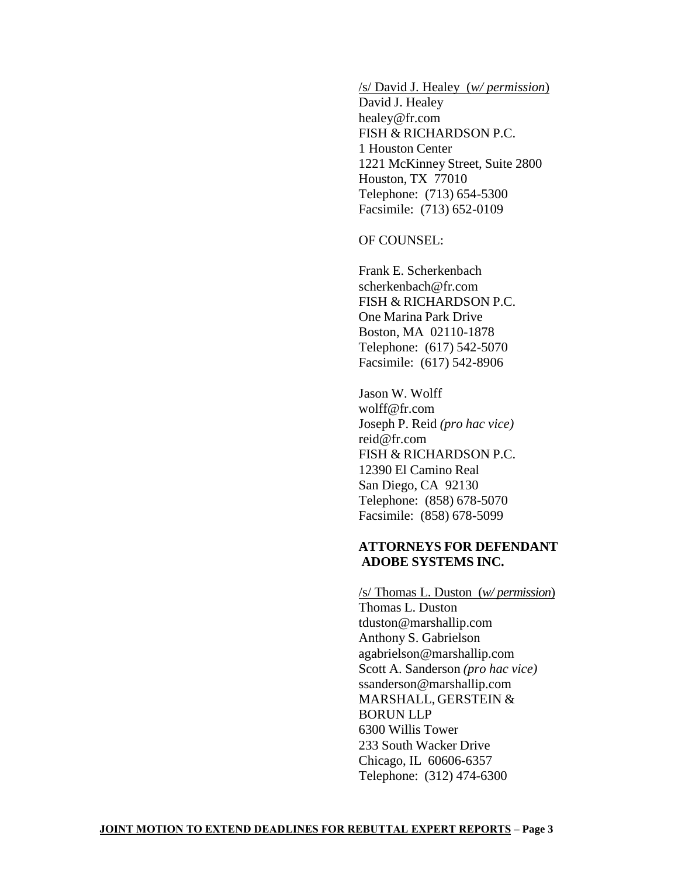/s/ David J. Healey (*w/ permission*)

David J. Healey healey@fr.com FISH & RICHARDSON P.C. 1 Houston Center 1221 McKinney Street, Suite 2800 Houston, TX 77010 Telephone: (713) 654-5300 Facsimile: (713) 652-0109

OF COUNSEL:

Frank E. Scherkenbach scherkenbach@fr.com FISH & RICHARDSON P.C. One Marina Park Drive Boston, MA 02110-1878 Telephone: (617) 542-5070 Facsimile: (617) 542-8906

Jason W. Wolff wolff@fr.com Joseph P. Reid *(pro hac vice)* reid@fr.com FISH & RICHARDSON P.C. 12390 El Camino Real San Diego, CA 92130 Telephone: (858) 678-5070 Facsimile: (858) 678-5099

### **ATTORNEYS FOR DEFENDANT ADOBE SYSTEMS INC.**

/s/ Thomas L. Duston (*w/ permission*) Thomas L. Duston tduston@marshallip.com Anthony S. Gabrielson agabrielson@marshallip.com Scott A. Sanderson *(pro hac vice)* ssanderson@marshallip.com MARSHALL, GERSTEIN & BORUN LLP 6300 Willis Tower 233 South Wacker Drive Chicago, IL 60606-6357 Telephone: (312) 474-6300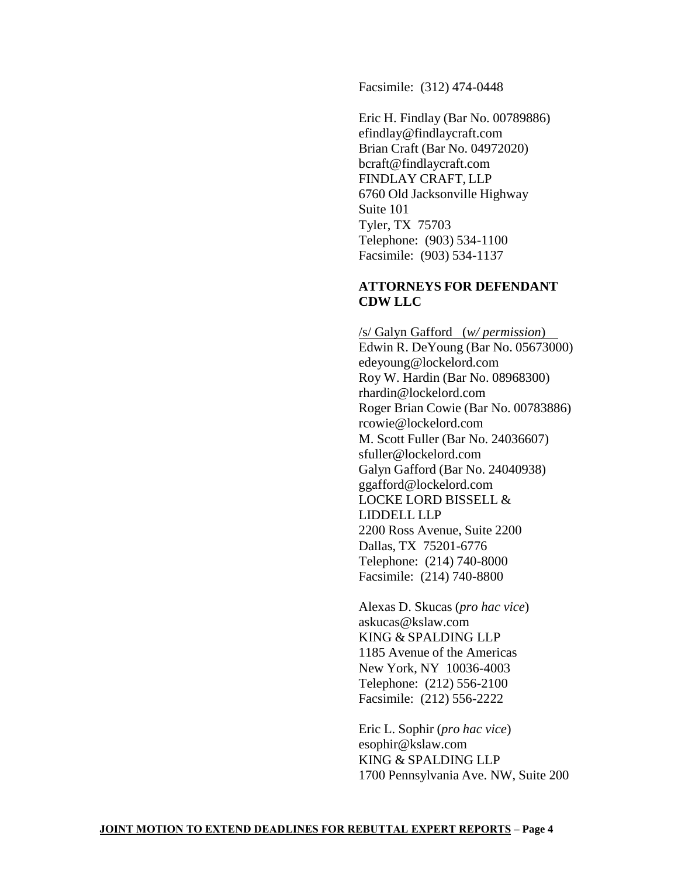Facsimile: (312) 474-0448

Eric H. Findlay (Bar No. 00789886) efindlay@findlaycraft.com Brian Craft (Bar No. 04972020) bcraft@findlaycraft.com FINDLAY CRAFT, LLP 6760 Old Jacksonville Highway Suite 101 Tyler, TX 75703 Telephone: (903) 534-1100 Facsimile: (903) 534-1137

### **ATTORNEYS FOR DEFENDANT CDW LLC**

/s/ Galyn Gafford (*w/ permission*) Edwin R. DeYoung (Bar No. 05673000) edeyoung@lockelord.com Roy W. Hardin (Bar No. 08968300) rhardin@lockelord.com Roger Brian Cowie (Bar No. 00783886) rcowie@lockelord.com M. Scott Fuller (Bar No. 24036607) sfuller@lockelord.com Galyn Gafford (Bar No. 24040938) ggafford@lockelord.com LOCKE LORD BISSELL & LIDDELL LLP 2200 Ross Avenue, Suite 2200 Dallas, TX 75201-6776 Telephone: (214) 740-8000 Facsimile: (214) 740-8800

Alexas D. Skucas (*pro hac vice*) askucas@kslaw.com KING & SPALDING LLP 1185 Avenue of the Americas New York, NY 10036-4003 Telephone: (212) 556-2100 Facsimile: (212) 556-2222

Eric L. Sophir (*pro hac vice*) esophir@kslaw.com KING & SPALDING LLP 1700 Pennsylvania Ave. NW, Suite 200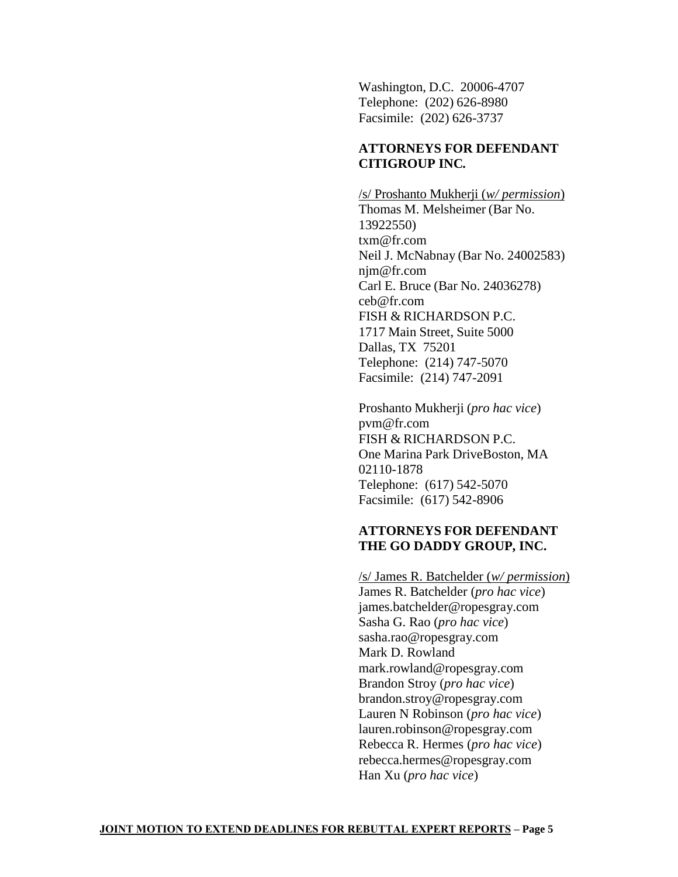Washington, D.C. 20006-4707 Telephone: (202) 626-8980 Facsimile: (202) 626-3737

# **ATTORNEYS FOR DEFENDANT CITIGROUP INC***.*

/s/ Proshanto Mukherji (*w/ permission*) Thomas M. Melsheimer (Bar No. 13922550) txm@fr.com Neil J. McNabnay (Bar No. 24002583) njm@fr.com Carl E. Bruce (Bar No. 24036278) ceb@fr.com FISH & RICHARDSON P.C. 1717 Main Street, Suite 5000 Dallas, TX 75201 Telephone: (214) 747-5070 Facsimile: (214) 747-2091

Proshanto Mukherji (*pro hac vice*) pvm@fr.com FISH & RICHARDSON P.C. One Marina Park DriveBoston, MA 02110-1878 Telephone: (617) 542-5070 Facsimile: (617) 542-8906

# **ATTORNEYS FOR DEFENDANT THE GO DADDY GROUP, INC.**

/s/ James R. Batchelder (*w/ permission*) James R. Batchelder (*pro hac vice*) james.batchelder@ropesgray.com Sasha G. Rao (*pro hac vice*) sasha.rao@ropesgray.com Mark D. Rowland mark.rowland@ropesgray.com Brandon Stroy (*pro hac vice*) brandon.stroy@ropesgray.com Lauren N Robinson (*pro hac vice*) lauren.robinson@ropesgray.com Rebecca R. Hermes (*pro hac vice*) rebecca.hermes@ropesgray.com Han Xu (*pro hac vice*)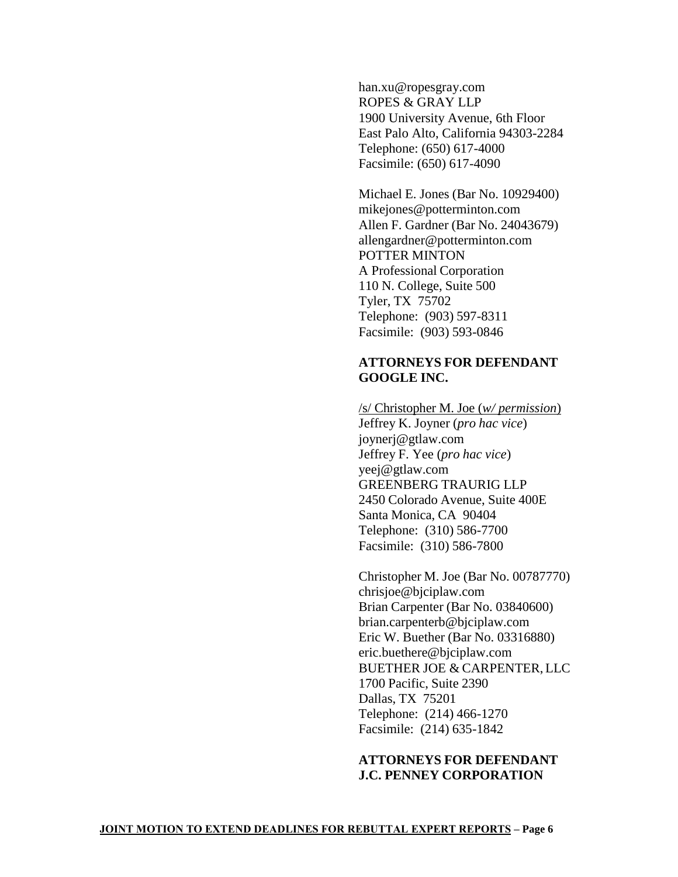han.xu@ropesgray.com ROPES & GRAY LLP 1900 University Avenue, 6th Floor East Palo Alto, California 94303-2284 Telephone: (650) 617-4000 Facsimile: (650) 617-4090

Michael E. Jones (Bar No. 10929400) mikejones@potterminton.com Allen F. Gardner (Bar No. 24043679) allengardner@potterminton.com POTTER MINTON A Professional Corporation 110 N. College, Suite 500 Tyler, TX 75702 Telephone: (903) 597-8311 Facsimile: (903) 593-0846

### **ATTORNEYS FOR DEFENDANT GOOGLE INC.**

/s/ Christopher M. Joe (*w/ permission*) Jeffrey K. Joyner (*pro hac vice*) joynerj@gtlaw.com Jeffrey F. Yee (*pro hac vice*) yeej@gtlaw.com GREENBERG TRAURIG LLP 2450 Colorado Avenue, Suite 400E Santa Monica, CA 90404 Telephone: (310) 586-7700 Facsimile: (310) 586-7800

Christopher M. Joe (Bar No. 00787770) chrisjoe@bjciplaw.com Brian Carpenter (Bar No. 03840600) brian.carpenterb@bjciplaw.com Eric W. Buether (Bar No. 03316880) eric.buethere@bjciplaw.com BUETHER JOE & CARPENTER, LLC 1700 Pacific, Suite 2390 Dallas, TX 75201 Telephone: (214) 466-1270 Facsimile: (214) 635-1842

### **ATTORNEYS FOR DEFENDANT J.C. PENNEY CORPORATION**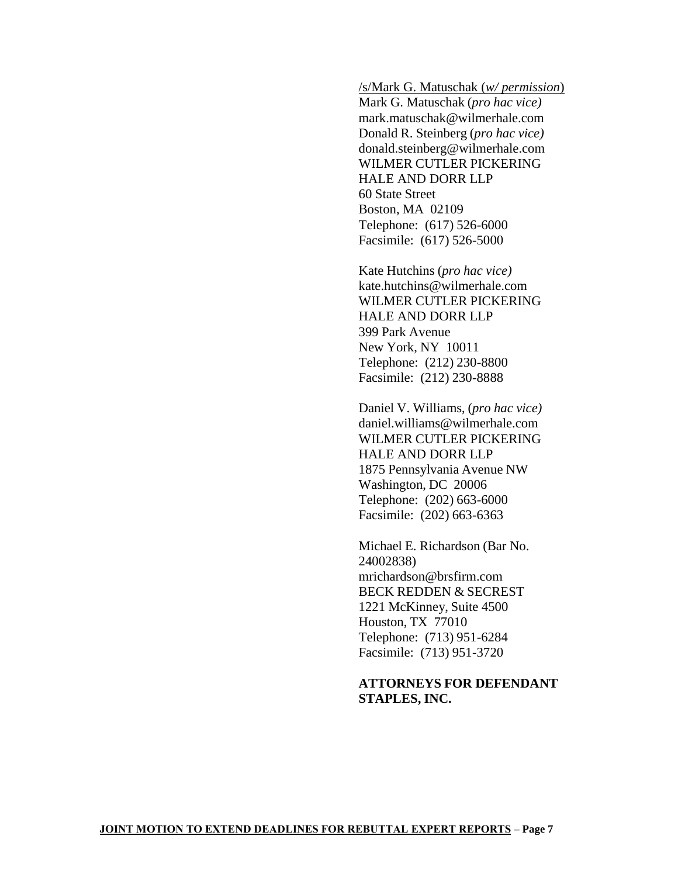/s/Mark G. Matuschak (*w/ permission*)

Mark G. Matuschak (*pro hac vice)* mark.matuschak@wilmerhale.com Donald R. Steinberg (*pro hac vice)* donald.steinberg@wilmerhale.com WILMER CUTLER PICKERING HALE AND DORR LLP 60 State Street Boston, MA 02109 Telephone: (617) 526-6000 Facsimile: (617) 526-5000

Kate Hutchins (*pro hac vice)* kate.hutchins@wilmerhale.com WILMER CUTLER PICKERING HALE AND DORR LLP 399 Park Avenue New York, NY 10011 Telephone: (212) 230-8800 Facsimile: (212) 230-8888

Daniel V. Williams, (*pro hac vice)* daniel.williams@wilmerhale.com WILMER CUTLER PICKERING HALE AND DORR LLP 1875 Pennsylvania Avenue NW Washington, DC 20006 Telephone: (202) 663-6000 Facsimile: (202) 663-6363

Michael E. Richardson (Bar No. 24002838) mrichardson@brsfirm.com BECK REDDEN & SECREST 1221 McKinney, Suite 4500 Houston, TX 77010 Telephone: (713) 951-6284 Facsimile: (713) 951-3720

## **ATTORNEYS FOR DEFENDANT STAPLES, INC.**